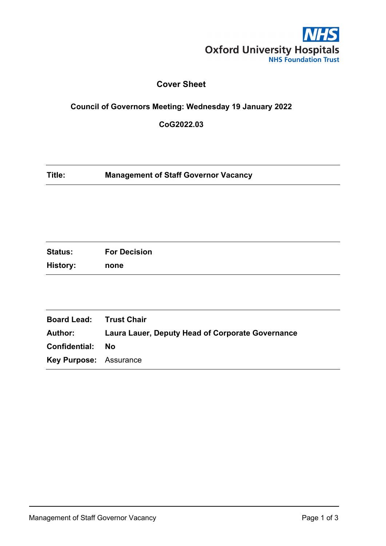

# **Cover Sheet**

## **Council of Governors Meeting: Wednesday 19 January 2022**

**CoG2022.03**

| Title: | <b>Management of Staff Governor Vacancy</b> |
|--------|---------------------------------------------|
|--------|---------------------------------------------|

| <b>Status:</b>  | <b>For Decision</b> |
|-----------------|---------------------|
| <b>History:</b> | none                |

| <b>Board Lead: Trust Chair</b>                   |
|--------------------------------------------------|
| Laura Lauer, Deputy Head of Corporate Governance |
| - No                                             |
| <b>Key Purpose: Assurance</b>                    |
|                                                  |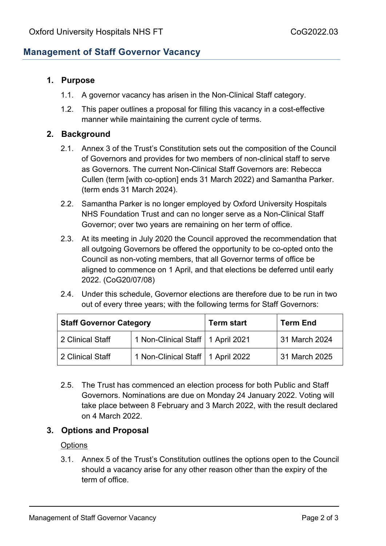## **Management of Staff Governor Vacancy**

#### **1. Purpose**

- 1.1. A governor vacancy has arisen in the Non-Clinical Staff category.
- 1.2. This paper outlines a proposal for filling this vacancy in a cost-effective manner while maintaining the current cycle of terms.

#### **2. Background**

- 2.1. Annex 3 of the Trust's Constitution sets out the composition of the Council of Governors and provides for two members of non-clinical staff to serve as Governors. The current Non-Clinical Staff Governors are: Rebecca Cullen (term [with co-option] ends 31 March 2022) and Samantha Parker. (term ends 31 March 2024).
- 2.2. Samantha Parker is no longer employed by Oxford University Hospitals NHS Foundation Trust and can no longer serve as a Non-Clinical Staff Governor; over two years are remaining on her term of office.
- 2.3. At its meeting in July 2020 the Council approved the recommendation that all outgoing Governors be offered the opportunity to be co-opted onto the Council as non-voting members, that all Governor terms of office be aligned to commence on 1 April, and that elections be deferred until early 2022. (CoG20/07/08)
- 2.4. Under this schedule, Governor elections are therefore due to be run in two out of every three years; with the following terms for Staff Governors:

| <b>Staff Governor Category</b> |                                     | <b>Term start</b> | <b>Term End</b> |
|--------------------------------|-------------------------------------|-------------------|-----------------|
| 2 Clinical Staff               | 1 Non-Clinical Staff   1 April 2021 |                   | 31 March 2024   |
| 2 Clinical Staff               | 1 Non-Clinical Staff   1 April 2022 |                   | 31 March 2025   |

2.5. The Trust has commenced an election process for both Public and Staff Governors. Nominations are due on Monday 24 January 2022. Voting will take place between 8 February and 3 March 2022, with the result declared on 4 March 2022.

### **3. Options and Proposal**

#### **Options**

3.1. Annex 5 of the Trust's Constitution outlines the options open to the Council should a vacancy arise for any other reason other than the expiry of the term of office.